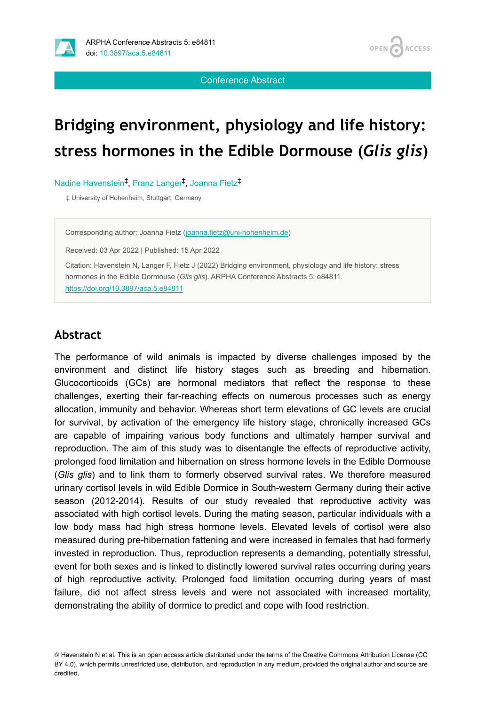

**OPEN ACCESS** 

Conference Abstract

# **Bridging environment, physiology and life history: stress hormones in the Edible Dormouse (***Glis glis***)**

Nadine Havenstein<sup>‡</sup>, Franz Langer<sup>‡</sup>, Joanna Fietz<sup>‡</sup>

‡ University of Hohenheim, Stuttgart, Germany

Corresponding author: Joanna Fietz ([joanna.fietz@uni-hohenheim.de\)](mailto:joanna.fietz@uni-hohenheim.de)

Received: 03 Apr 2022 | Published: 15 Apr 2022

Citation: Havenstein N, Langer F, Fietz J (2022) Bridging environment, physiology and life history: stress hormones in the Edible Dormouse (*Glis glis*). ARPHA Conference Abstracts 5: e84811. <https://doi.org/10.3897/aca.5.e84811>

## **Abstract**

The performance of wild animals is impacted by diverse challenges imposed by the environment and distinct life history stages such as breeding and hibernation. Glucocorticoids (GCs) are hormonal mediators that reflect the response to these challenges, exerting their far-reaching effects on numerous processes such as energy allocation, immunity and behavior. Whereas short term elevations of GC levels are crucial for survival, by activation of the emergency life history stage, chronically increased GCs are capable of impairing various body functions and ultimately hamper survival and reproduction. The aim of this study was to disentangle the effects of reproductive activity, prolonged food limitation and hibernation on stress hormone levels in the Edible Dormouse (*Glis glis*) and to link them to formerly observed survival rates. We therefore measured urinary cortisol levels in wild Edible Dormice in South-western Germany during their active season (2012-2014). Results of our study revealed that reproductive activity was associated with high cortisol levels. During the mating season, particular individuals with a low body mass had high stress hormone levels. Elevated levels of cortisol were also measured during pre-hibernation fattening and were increased in females that had formerly invested in reproduction. Thus, reproduction represents a demanding, potentially stressful, event for both sexes and is linked to distinctly lowered survival rates occurring during years of high reproductive activity. Prolonged food limitation occurring during years of mast failure, did not affect stress levels and were not associated with increased mortality, demonstrating the ability of dormice to predict and cope with food restriction.

© Havenstein N et al. This is an open access article distributed under the terms of the Creative Commons Attribution License (CC BY 4.0), which permits unrestricted use, distribution, and reproduction in any medium, provided the original author and source are credited.